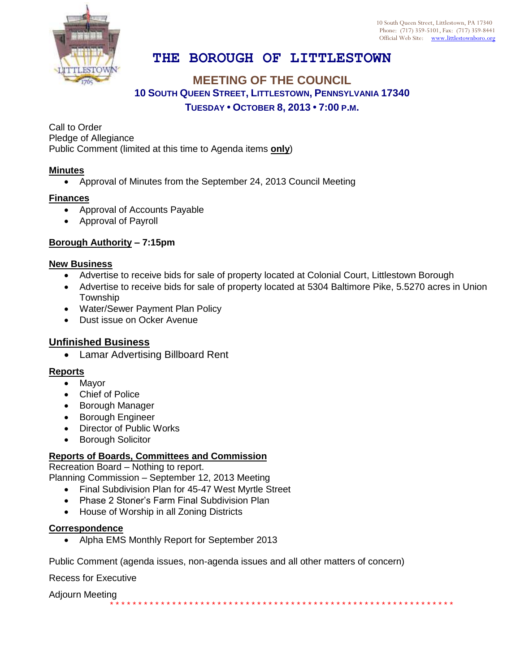

# **THE BOROUGH OF LITTLESTOWN**

# **MEETING OF THE COUNCIL 10 SOUTH QUEEN STREET, LITTLESTOWN, PENNSYLVANIA 17340 TUESDAY • OCTOBER 8, 2013 • 7:00 P.M.**

Call to Order Pledge of Allegiance Public Comment (limited at this time to Agenda items **only**)

## **Minutes**

Approval of Minutes from the September 24, 2013 Council Meeting

## **Finances**

- Approval of Accounts Payable
- Approval of Payroll

# **Borough Authority – 7:15pm**

### **New Business**

- Advertise to receive bids for sale of property located at Colonial Court, Littlestown Borough
- Advertise to receive bids for sale of property located at 5304 Baltimore Pike, 5.5270 acres in Union Township
- Water/Sewer Payment Plan Policy
- Dust issue on Ocker Avenue

# **Unfinished Business**

Lamar Advertising Billboard Rent

### **Reports**

- Mayor
- Chief of Police
- Borough Manager
- **•** Borough Engineer
- Director of Public Works
- Borough Solicitor

# **Reports of Boards, Committees and Commission**

Recreation Board – Nothing to report.

Planning Commission – September 12, 2013 Meeting

- Final Subdivision Plan for 45-47 West Myrtle Street
- Phase 2 Stoner's Farm Final Subdivision Plan
- House of Worship in all Zoning Districts

### **Correspondence**

• Alpha EMS Monthly Report for September 2013

Public Comment (agenda issues, non-agenda issues and all other matters of concern)

Recess for Executive

Adjourn Meeting

\* \* \* \* \* \* \* \* \* \* \* \* \* \* \* \* \* \* \* \* \* \* \* \* \* \* \* \* \* \* \* \* \* \* \* \* \* \* \* \* \* \* \* \* \* \* \* \* \* \* \* \* \* \* \* \* \* \* \* \* \*